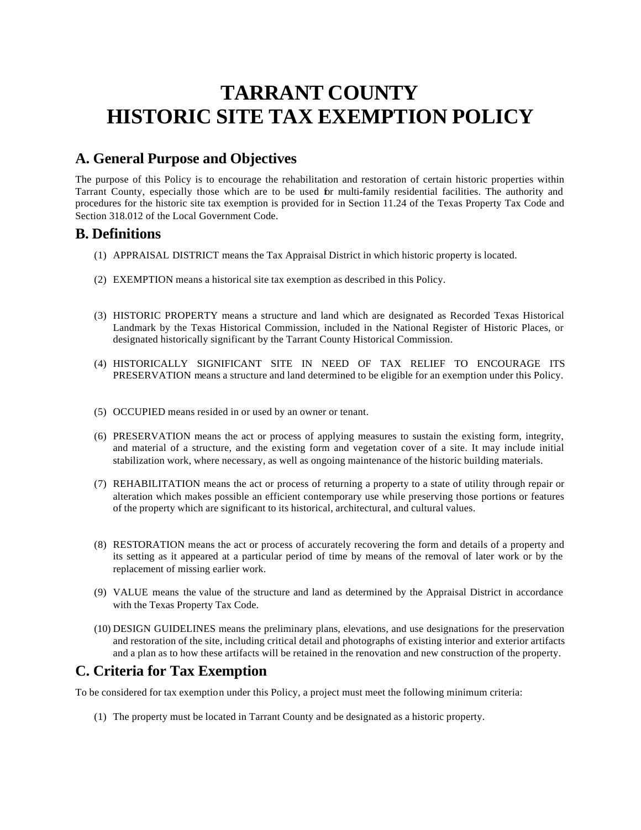# **TARRANT COUNTY HISTORIC SITE TAX EXEMPTION POLICY**

### **A. General Purpose and Objectives**

The purpose of this Policy is to encourage the rehabilitation and restoration of certain historic properties within Tarrant County, especially those which are to be used for multi-family residential facilities. The authority and procedures for the historic site tax exemption is provided for in Section 11.24 of the Texas Property Tax Code and Section 318.012 of the Local Government Code.

### **B. Definitions**

- (1) APPRAISAL DISTRICT means the Tax Appraisal District in which historic property is located.
- (2) EXEMPTION means a historical site tax exemption as described in this Policy.
- (3) HISTORIC PROPERTY means a structure and land which are designated as Recorded Texas Historical Landmark by the Texas Historical Commission, included in the National Register of Historic Places, or designated historically significant by the Tarrant County Historical Commission.
- (4) HISTORICALLY SIGNIFICANT SITE IN NEED OF TAX RELIEF TO ENCOURAGE ITS PRESERVATION means a structure and land determined to be eligible for an exemption under this Policy.
- (5) OCCUPIED means resided in or used by an owner or tenant.
- (6) PRESERVATION means the act or process of applying measures to sustain the existing form, integrity, and material of a structure, and the existing form and vegetation cover of a site. It may include initial stabilization work, where necessary, as well as ongoing maintenance of the historic building materials.
- (7) REHABILITATION means the act or process of returning a property to a state of utility through repair or alteration which makes possible an efficient contemporary use while preserving those portions or features of the property which are significant to its historical, architectural, and cultural values.
- (8) RESTORATION means the act or process of accurately recovering the form and details of a property and its setting as it appeared at a particular period of time by means of the removal of later work or by the replacement of missing earlier work.
- (9) VALUE means the value of the structure and land as determined by the Appraisal District in accordance with the Texas Property Tax Code.
- (10) DESIGN GUIDELINES means the preliminary plans, elevations, and use designations for the preservation and restoration of the site, including critical detail and photographs of existing interior and exterior artifacts and a plan as to how these artifacts will be retained in the renovation and new construction of the property.

### **C. Criteria for Tax Exemption**

To be considered for tax exemption under this Policy, a project must meet the following minimum criteria:

(1) The property must be located in Tarrant County and be designated as a historic property.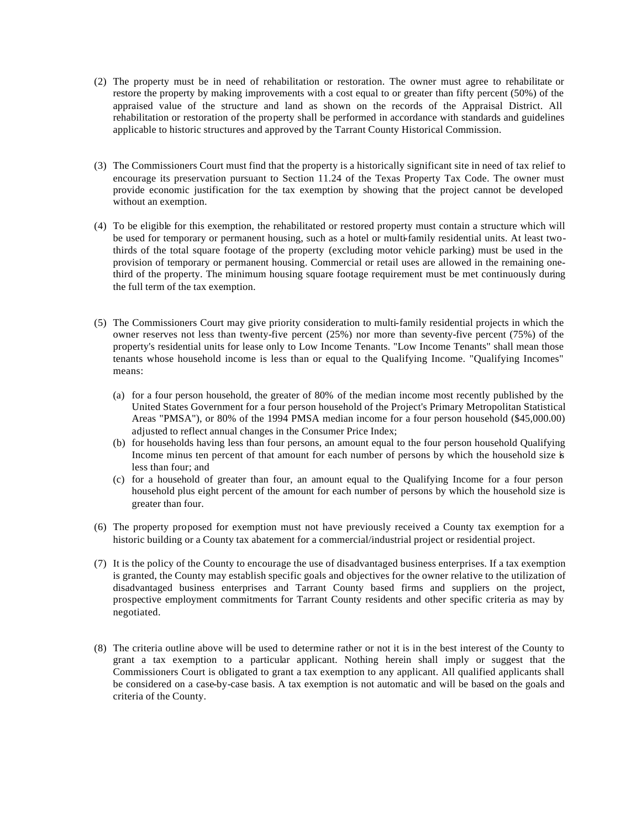- (2) The property must be in need of rehabilitation or restoration. The owner must agree to rehabilitate or restore the property by making improvements with a cost equal to or greater than fifty percent (50%) of the appraised value of the structure and land as shown on the records of the Appraisal District. All rehabilitation or restoration of the property shall be performed in accordance with standards and guidelines applicable to historic structures and approved by the Tarrant County Historical Commission.
- (3) The Commissioners Court must find that the property is a historically significant site in need of tax relief to encourage its preservation pursuant to Section 11.24 of the Texas Property Tax Code. The owner must provide economic justification for the tax exemption by showing that the project cannot be developed without an exemption.
- (4) To be eligible for this exemption, the rehabilitated or restored property must contain a structure which will be used for temporary or permanent housing, such as a hotel or multi-family residential units. At least twothirds of the total square footage of the property (excluding motor vehicle parking) must be used in the provision of temporary or permanent housing. Commercial or retail uses are allowed in the remaining onethird of the property. The minimum housing square footage requirement must be met continuously during the full term of the tax exemption.
- (5) The Commissioners Court may give priority consideration to multi-family residential projects in which the owner reserves not less than twenty-five percent (25%) nor more than seventy-five percent (75%) of the property's residential units for lease only to Low Income Tenants. "Low Income Tenants" shall mean those tenants whose household income is less than or equal to the Qualifying Income. "Qualifying Incomes" means:
	- (a) for a four person household, the greater of 80% of the median income most recently published by the United States Government for a four person household of the Project's Primary Metropolitan Statistical Areas "PMSA"), or 80% of the 1994 PMSA median income for a four person household (\$45,000.00) adjusted to reflect annual changes in the Consumer Price Index;
	- (b) for households having less than four persons, an amount equal to the four person household Qualifying Income minus ten percent of that amount for each number of persons by which the household size is less than four; and
	- (c) for a household of greater than four, an amount equal to the Qualifying Income for a four person household plus eight percent of the amount for each number of persons by which the household size is greater than four.
- (6) The property proposed for exemption must not have previously received a County tax exemption for a historic building or a County tax abatement for a commercial/industrial project or residential project.
- (7) It is the policy of the County to encourage the use of disadvantaged business enterprises. If a tax exemption is granted, the County may establish specific goals and objectives for the owner relative to the utilization of disadvantaged business enterprises and Tarrant County based firms and suppliers on the project, prospective employment commitments for Tarrant County residents and other specific criteria as may by negotiated.
- (8) The criteria outline above will be used to determine rather or not it is in the best interest of the County to grant a tax exemption to a particular applicant. Nothing herein shall imply or suggest that the Commissioners Court is obligated to grant a tax exemption to any applicant. All qualified applicants shall be considered on a case-by-case basis. A tax exemption is not automatic and will be based on the goals and criteria of the County.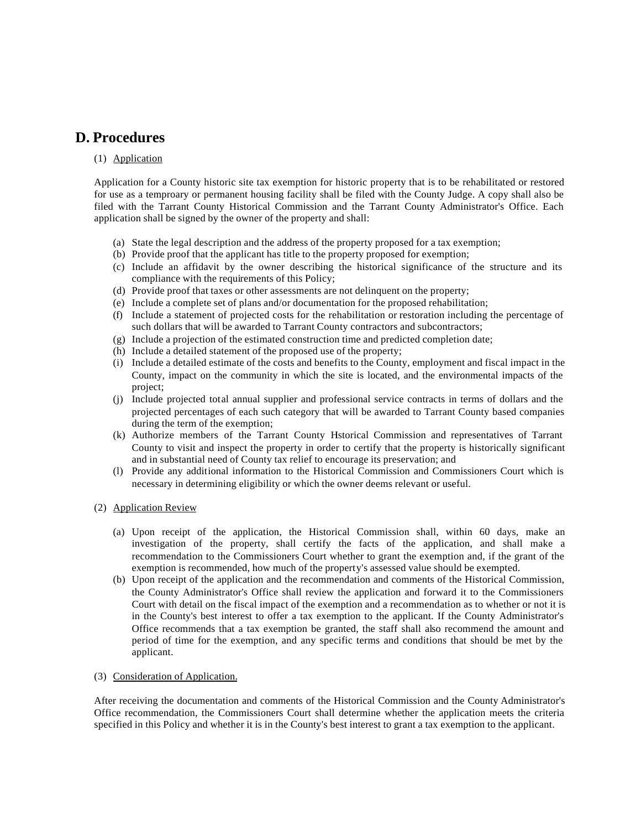### **D. Procedures**

#### (1) Application

Application for a County historic site tax exemption for historic property that is to be rehabilitated or restored for use as a temproary or permanent housing facility shall be filed with the County Judge. A copy shall also be filed with the Tarrant County Historical Commission and the Tarrant County Administrator's Office. Each application shall be signed by the owner of the property and shall:

- (a) State the legal description and the address of the property proposed for a tax exemption;
- (b) Provide proof that the applicant has title to the property proposed for exemption;
- (c) Include an affidavit by the owner describing the historical significance of the structure and its compliance with the requirements of this Policy;
- (d) Provide proof that taxes or other assessments are not delinquent on the property;
- (e) Include a complete set of plans and/or documentation for the proposed rehabilitation;
- (f) Include a statement of projected costs for the rehabilitation or restoration including the percentage of such dollars that will be awarded to Tarrant County contractors and subcontractors;
- (g) Include a projection of the estimated construction time and predicted completion date;
- (h) Include a detailed statement of the proposed use of the property;
- (i) Include a detailed estimate of the costs and benefits to the County, employment and fiscal impact in the County, impact on the community in which the site is located, and the environmental impacts of the project;
- (j) Include projected total annual supplier and professional service contracts in terms of dollars and the projected percentages of each such category that will be awarded to Tarrant County based companies during the term of the exemption;
- (k) Authorize members of the Tarrant County Historical Commission and representatives of Tarrant County to visit and inspect the property in order to certify that the property is historically significant and in substantial need of County tax relief to encourage its preservation; and
- (l) Provide any additional information to the Historical Commission and Commissioners Court which is necessary in determining eligibility or which the owner deems relevant or useful.
- (2) Application Review
	- (a) Upon receipt of the application, the Historical Commission shall, within 60 days, make an investigation of the property, shall certify the facts of the application, and shall make a recommendation to the Commissioners Court whether to grant the exemption and, if the grant of the exemption is recommended, how much of the property's assessed value should be exempted.
	- (b) Upon receipt of the application and the recommendation and comments of the Historical Commission, the County Administrator's Office shall review the application and forward it to the Commissioners Court with detail on the fiscal impact of the exemption and a recommendation as to whether or not it is in the County's best interest to offer a tax exemption to the applicant. If the County Administrator's Office recommends that a tax exemption be granted, the staff shall also recommend the amount and period of time for the exemption, and any specific terms and conditions that should be met by the applicant.

#### (3) Consideration of Application.

After receiving the documentation and comments of the Historical Commission and the County Administrator's Office recommendation, the Commissioners Court shall determine whether the application meets the criteria specified in this Policy and whether it is in the County's best interest to grant a tax exemption to the applicant.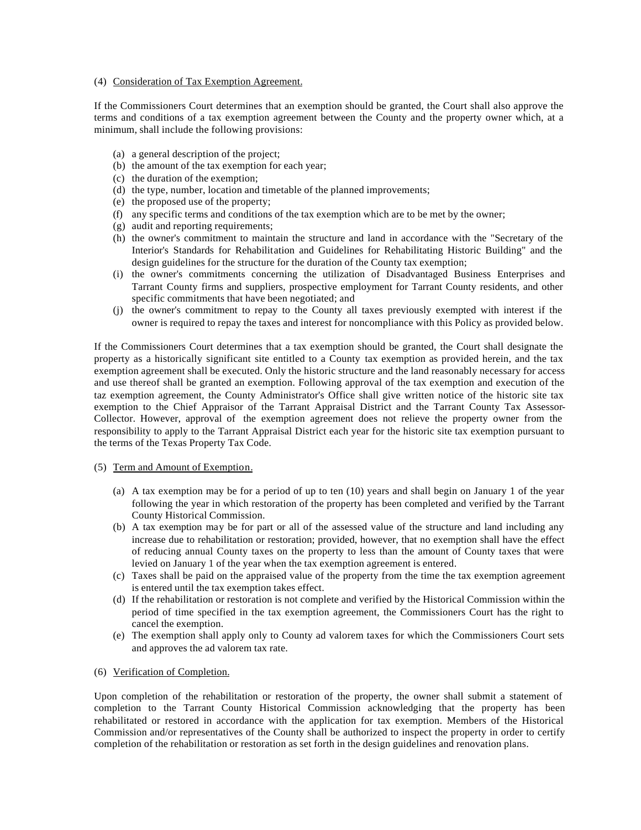#### (4) Consideration of Tax Exemption Agreement.

If the Commissioners Court determines that an exemption should be granted, the Court shall also approve the terms and conditions of a tax exemption agreement between the County and the property owner which, at a minimum, shall include the following provisions:

- (a) a general description of the project;
- (b) the amount of the tax exemption for each year;
- (c) the duration of the exemption;
- (d) the type, number, location and timetable of the planned improvements;
- (e) the proposed use of the property;
- (f) any specific terms and conditions of the tax exemption which are to be met by the owner;
- (g) audit and reporting requirements;
- (h) the owner's commitment to maintain the structure and land in accordance with the "Secretary of the Interior's Standards for Rehabilitation and Guidelines for Rehabilitating Historic Building" and the design guidelines for the structure for the duration of the County tax exemption;
- (i) the owner's commitments concerning the utilization of Disadvantaged Business Enterprises and Tarrant County firms and suppliers, prospective employment for Tarrant County residents, and other specific commitments that have been negotiated; and
- (j) the owner's commitment to repay to the County all taxes previously exempted with interest if the owner is required to repay the taxes and interest for noncompliance with this Policy as provided below.

If the Commissioners Court determines that a tax exemption should be granted, the Court shall designate the property as a historically significant site entitled to a County tax exemption as provided herein, and the tax exemption agreement shall be executed. Only the historic structure and the land reasonably necessary for access and use thereof shall be granted an exemption. Following approval of the tax exemption and execution of the taz exemption agreement, the County Administrator's Office shall give written notice of the historic site tax exemption to the Chief Appraisor of the Tarrant Appraisal District and the Tarrant County Tax Assessor-Collector. However, approval of the exemption agreement does not relieve the property owner from the responsibility to apply to the Tarrant Appraisal District each year for the historic site tax exemption pursuant to the terms of the Texas Property Tax Code.

#### (5) Term and Amount of Exemption.

- (a) A tax exemption may be for a period of up to ten (10) years and shall begin on January 1 of the year following the year in which restoration of the property has been completed and verified by the Tarrant County Historical Commission.
- (b) A tax exemption may be for part or all of the assessed value of the structure and land including any increase due to rehabilitation or restoration; provided, however, that no exemption shall have the effect of reducing annual County taxes on the property to less than the amount of County taxes that were levied on January 1 of the year when the tax exemption agreement is entered.
- (c) Taxes shall be paid on the appraised value of the property from the time the tax exemption agreement is entered until the tax exemption takes effect.
- (d) If the rehabilitation or restoration is not complete and verified by the Historical Commission within the period of time specified in the tax exemption agreement, the Commissioners Court has the right to cancel the exemption.
- (e) The exemption shall apply only to County ad valorem taxes for which the Commissioners Court sets and approves the ad valorem tax rate.

#### (6) Verification of Completion.

Upon completion of the rehabilitation or restoration of the property, the owner shall submit a statement of completion to the Tarrant County Historical Commission acknowledging that the property has been rehabilitated or restored in accordance with the application for tax exemption. Members of the Historical Commission and/or representatives of the County shall be authorized to inspect the property in order to certify completion of the rehabilitation or restoration as set forth in the design guidelines and renovation plans.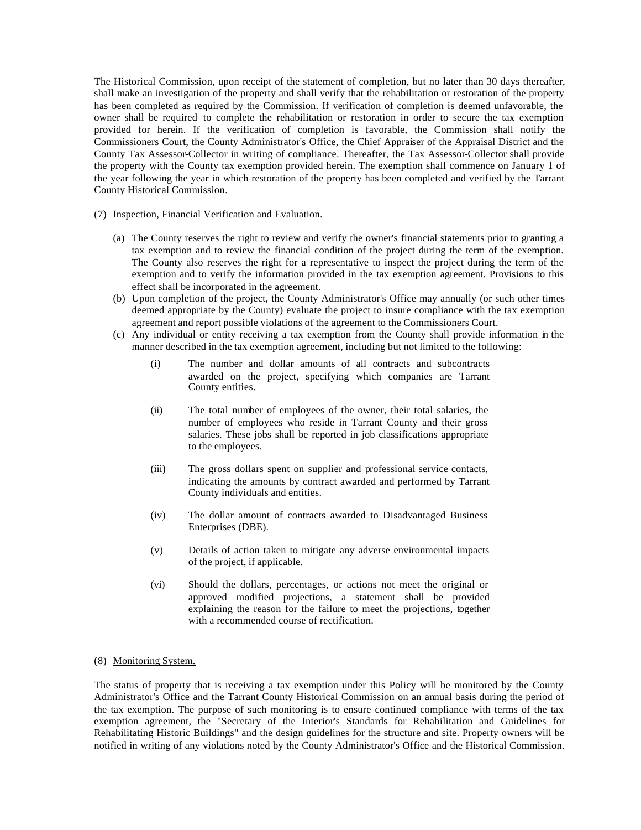The Historical Commission, upon receipt of the statement of completion, but no later than 30 days thereafter, shall make an investigation of the property and shall verify that the rehabilitation or restoration of the property has been completed as required by the Commission. If verification of completion is deemed unfavorable, the owner shall be required to complete the rehabilitation or restoration in order to secure the tax exemption provided for herein. If the verification of completion is favorable, the Commission shall notify the Commissioners Court, the County Administrator's Office, the Chief Appraiser of the Appraisal District and the County Tax Assessor-Collector in writing of compliance. Thereafter, the Tax Assessor-Collector shall provide the property with the County tax exemption provided herein. The exemption shall commence on January 1 of the year following the year in which restoration of the property has been completed and verified by the Tarrant County Historical Commission.

#### (7) Inspection, Financial Verification and Evaluation.

- (a) The County reserves the right to review and verify the owner's financial statements prior to granting a tax exemption and to review the financial condition of the project during the term of the exemption. The County also reserves the right for a representative to inspect the project during the term of the exemption and to verify the information provided in the tax exemption agreement. Provisions to this effect shall be incorporated in the agreement.
- (b) Upon completion of the project, the County Administrator's Office may annually (or such other times deemed appropriate by the County) evaluate the project to insure compliance with the tax exemption agreement and report possible violations of the agreement to the Commissioners Court.
- (c) Any individual or entity receiving a tax exemption from the County shall provide information in the manner described in the tax exemption agreement, including but not limited to the following:
	- (i) The number and dollar amounts of all contracts and subcontracts awarded on the project, specifying which companies are Tarrant County entities.
	- (ii) The total number of employees of the owner, their total salaries, the number of employees who reside in Tarrant County and their gross salaries. These jobs shall be reported in job classifications appropriate to the employees.
	- (iii) The gross dollars spent on supplier and professional service contacts, indicating the amounts by contract awarded and performed by Tarrant County individuals and entities.
	- (iv) The dollar amount of contracts awarded to Disadvantaged Business Enterprises (DBE).
	- (v) Details of action taken to mitigate any adverse environmental impacts of the project, if applicable.
	- (vi) Should the dollars, percentages, or actions not meet the original or approved modified projections, a statement shall be provided explaining the reason for the failure to meet the projections, together with a recommended course of rectification.
- (8) Monitoring System.

The status of property that is receiving a tax exemption under this Policy will be monitored by the County Administrator's Office and the Tarrant County Historical Commission on an annual basis during the period of the tax exemption. The purpose of such monitoring is to ensure continued compliance with terms of the tax exemption agreement, the "Secretary of the Interior's Standards for Rehabilitation and Guidelines for Rehabilitating Historic Buildings" and the design guidelines for the structure and site. Property owners will be notified in writing of any violations noted by the County Administrator's Office and the Historical Commission.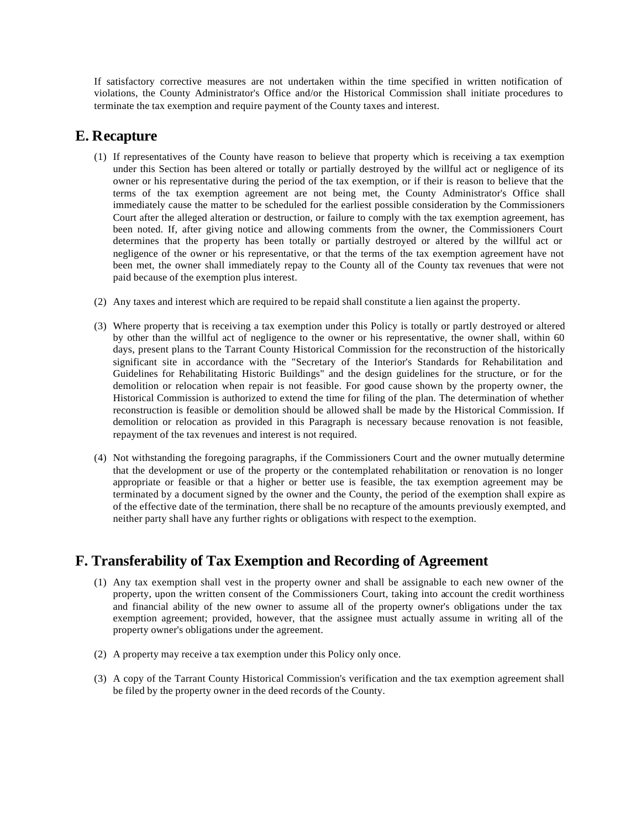If satisfactory corrective measures are not undertaken within the time specified in written notification of violations, the County Administrator's Office and/or the Historical Commission shall initiate procedures to terminate the tax exemption and require payment of the County taxes and interest.

### **E. Recapture**

- (1) If representatives of the County have reason to believe that property which is receiving a tax exemption under this Section has been altered or totally or partially destroyed by the willful act or negligence of its owner or his representative during the period of the tax exemption, or if their is reason to believe that the terms of the tax exemption agreement are not being met, the County Administrator's Office shall immediately cause the matter to be scheduled for the earliest possible consideration by the Commissioners Court after the alleged alteration or destruction, or failure to comply with the tax exemption agreement, has been noted. If, after giving notice and allowing comments from the owner, the Commissioners Court determines that the property has been totally or partially destroyed or altered by the willful act or negligence of the owner or his representative, or that the terms of the tax exemption agreement have not been met, the owner shall immediately repay to the County all of the County tax revenues that were not paid because of the exemption plus interest.
- (2) Any taxes and interest which are required to be repaid shall constitute a lien against the property.
- (3) Where property that is receiving a tax exemption under this Policy is totally or partly destroyed or altered by other than the willful act of negligence to the owner or his representative, the owner shall, within 60 days, present plans to the Tarrant County Historical Commission for the reconstruction of the historically significant site in accordance with the "Secretary of the Interior's Standards for Rehabilitation and Guidelines for Rehabilitating Historic Buildings" and the design guidelines for the structure, or for the demolition or relocation when repair is not feasible. For good cause shown by the property owner, the Historical Commission is authorized to extend the time for filing of the plan. The determination of whether reconstruction is feasible or demolition should be allowed shall be made by the Historical Commission. If demolition or relocation as provided in this Paragraph is necessary because renovation is not feasible, repayment of the tax revenues and interest is not required.
- (4) Not withstanding the foregoing paragraphs, if the Commissioners Court and the owner mutually determine that the development or use of the property or the contemplated rehabilitation or renovation is no longer appropriate or feasible or that a higher or better use is feasible, the tax exemption agreement may be terminated by a document signed by the owner and the County, the period of the exemption shall expire as of the effective date of the termination, there shall be no recapture of the amounts previously exempted, and neither party shall have any further rights or obligations with respect to the exemption.

### **F. Transferability of Tax Exemption and Recording of Agreement**

- (1) Any tax exemption shall vest in the property owner and shall be assignable to each new owner of the property, upon the written consent of the Commissioners Court, taking into account the credit worthiness and financial ability of the new owner to assume all of the property owner's obligations under the tax exemption agreement; provided, however, that the assignee must actually assume in writing all of the property owner's obligations under the agreement.
- (2) A property may receive a tax exemption under this Policy only once.
- (3) A copy of the Tarrant County Historical Commission's verification and the tax exemption agreement shall be filed by the property owner in the deed records of the County.